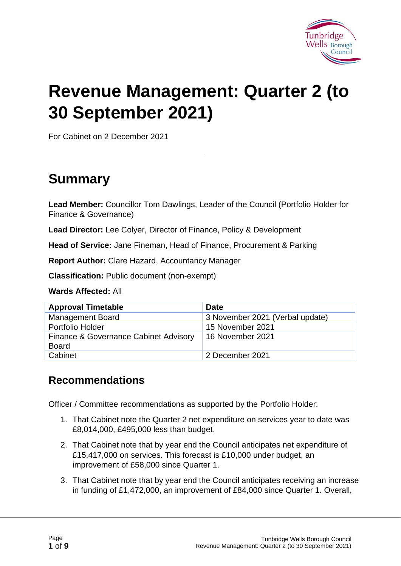

# **Revenue Management: Quarter 2 (to 30 September 2021)**

For Cabinet on 2 December 2021

# **Summary**

**Lead Member:** Councillor Tom Dawlings, Leader of the Council (Portfolio Holder for Finance & Governance)

**Lead Director:** Lee Colyer, Director of Finance, Policy & Development

**Head of Service:** Jane Fineman, Head of Finance, Procurement & Parking

**Report Author:** Clare Hazard, Accountancy Manager

**Classification:** Public document (non-exempt)

**Wards Affected:** All

| <b>Approval Timetable</b>                             | <b>Date</b>                     |
|-------------------------------------------------------|---------------------------------|
| <b>Management Board</b>                               | 3 November 2021 (Verbal update) |
| Portfolio Holder                                      | 15 November 2021                |
| Finance & Governance Cabinet Advisory<br><b>Board</b> | 16 November 2021                |
| Cabinet                                               | 2 December 2021                 |

#### **Recommendations**

Officer / Committee recommendations as supported by the Portfolio Holder:

- 1. That Cabinet note the Quarter 2 net expenditure on services year to date was £8,014,000, £495,000 less than budget.
- 2. That Cabinet note that by year end the Council anticipates net expenditure of £15,417,000 on services. This forecast is £10,000 under budget, an improvement of £58,000 since Quarter 1.
- 3. That Cabinet note that by year end the Council anticipates receiving an increase in funding of £1,472,000, an improvement of £84,000 since Quarter 1. Overall,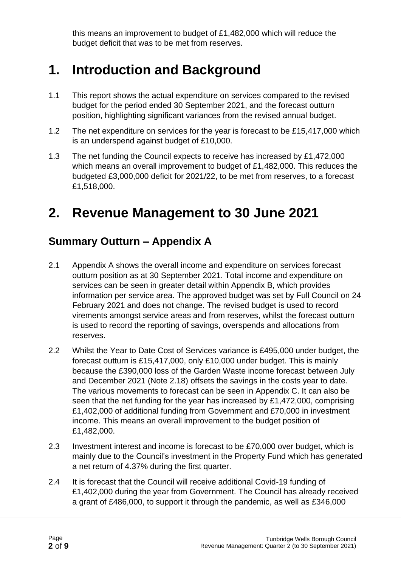this means an improvement to budget of £1,482,000 which will reduce the budget deficit that was to be met from reserves.

## **1. Introduction and Background**

- 1.1 This report shows the actual expenditure on services compared to the revised budget for the period ended 30 September 2021, and the forecast outturn position, highlighting significant variances from the revised annual budget.
- 1.2 The net expenditure on services for the year is forecast to be £15,417,000 which is an underspend against budget of £10,000.
- 1.3 The net funding the Council expects to receive has increased by £1,472,000 which means an overall improvement to budget of £1,482,000. This reduces the budgeted £3,000,000 deficit for 2021/22, to be met from reserves, to a forecast £1,518,000.

### **2. Revenue Management to 30 June 2021**

#### **Summary Outturn – Appendix A**

- 2.1 Appendix A shows the overall income and expenditure on services forecast outturn position as at 30 September 2021. Total income and expenditure on services can be seen in greater detail within Appendix B, which provides information per service area. The approved budget was set by Full Council on 24 February 2021 and does not change. The revised budget is used to record virements amongst service areas and from reserves, whilst the forecast outturn is used to record the reporting of savings, overspends and allocations from reserves.
- 2.2 Whilst the Year to Date Cost of Services variance is £495,000 under budget, the forecast outturn is £15,417,000, only £10,000 under budget. This is mainly because the £390,000 loss of the Garden Waste income forecast between July and December 2021 (Note 2.18) offsets the savings in the costs year to date. The various movements to forecast can be seen in Appendix C. It can also be seen that the net funding for the year has increased by £1,472,000, comprising £1,402,000 of additional funding from Government and £70,000 in investment income. This means an overall improvement to the budget position of £1,482,000.
- 2.3 Investment interest and income is forecast to be £70,000 over budget, which is mainly due to the Council's investment in the Property Fund which has generated a net return of 4.37% during the first quarter.
- 2.4 It is forecast that the Council will receive additional Covid-19 funding of £1,402,000 during the year from Government. The Council has already received a grant of £486,000, to support it through the pandemic, as well as £346,000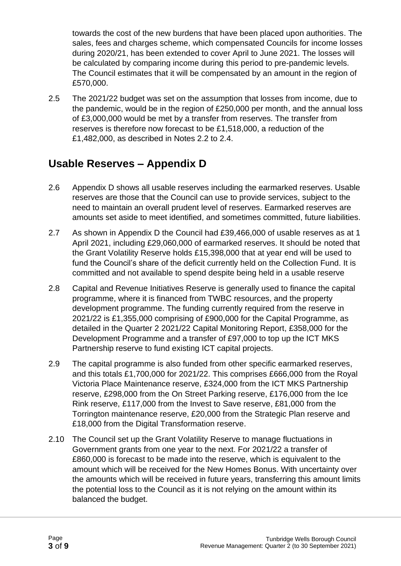towards the cost of the new burdens that have been placed upon authorities. The sales, fees and charges scheme, which compensated Councils for income losses during 2020/21, has been extended to cover April to June 2021. The losses will be calculated by comparing income during this period to pre-pandemic levels. The Council estimates that it will be compensated by an amount in the region of £570,000.

2.5 The 2021/22 budget was set on the assumption that losses from income, due to the pandemic, would be in the region of £250,000 per month, and the annual loss of £3,000,000 would be met by a transfer from reserves. The transfer from reserves is therefore now forecast to be £1,518,000, a reduction of the £1,482,000, as described in Notes 2.2 to 2.4.

#### **Usable Reserves – Appendix D**

- 2.6 Appendix D shows all usable reserves including the earmarked reserves. Usable reserves are those that the Council can use to provide services, subject to the need to maintain an overall prudent level of reserves. Earmarked reserves are amounts set aside to meet identified, and sometimes committed, future liabilities.
- 2.7 As shown in Appendix D the Council had £39,466,000 of usable reserves as at 1 April 2021, including £29,060,000 of earmarked reserves. It should be noted that the Grant Volatility Reserve holds £15,398,000 that at year end will be used to fund the Council's share of the deficit currently held on the Collection Fund. It is committed and not available to spend despite being held in a usable reserve
- 2.8 Capital and Revenue Initiatives Reserve is generally used to finance the capital programme, where it is financed from TWBC resources, and the property development programme. The funding currently required from the reserve in 2021/22 is £1,355,000 comprising of £900,000 for the Capital Programme, as detailed in the Quarter 2 2021/22 Capital Monitoring Report, £358,000 for the Development Programme and a transfer of £97,000 to top up the ICT MKS Partnership reserve to fund existing ICT capital projects.
- 2.9 The capital programme is also funded from other specific earmarked reserves, and this totals £1,700,000 for 2021/22. This comprises £666,000 from the Royal Victoria Place Maintenance reserve, £324,000 from the ICT MKS Partnership reserve, £298,000 from the On Street Parking reserve, £176,000 from the Ice Rink reserve, £117,000 from the Invest to Save reserve, £81,000 from the Torrington maintenance reserve, £20,000 from the Strategic Plan reserve and £18,000 from the Digital Transformation reserve.
- 2.10 The Council set up the Grant Volatility Reserve to manage fluctuations in Government grants from one year to the next. For 2021/22 a transfer of £860,000 is forecast to be made into the reserve, which is equivalent to the amount which will be received for the New Homes Bonus. With uncertainty over the amounts which will be received in future years, transferring this amount limits the potential loss to the Council as it is not relying on the amount within its balanced the budget.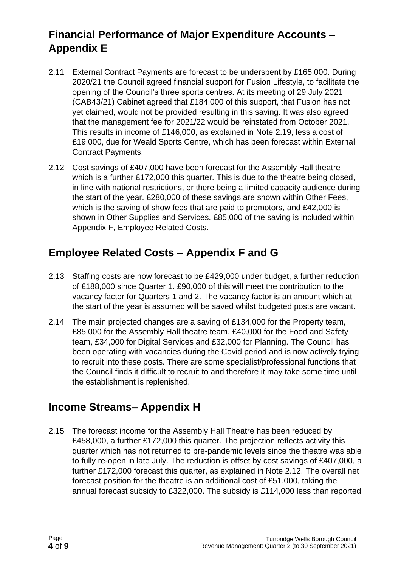### **Financial Performance of Major Expenditure Accounts – Appendix E**

- 2.11 External Contract Payments are forecast to be underspent by £165,000. During 2020/21 the Council agreed financial support for Fusion Lifestyle, to facilitate the opening of the Council's three sports centres. At its meeting of 29 July 2021 (CAB43/21) Cabinet agreed that £184,000 of this support, that Fusion has not yet claimed, would not be provided resulting in this saving. It was also agreed that the management fee for 2021/22 would be reinstated from October 2021. This results in income of £146,000, as explained in Note 2.19, less a cost of £19,000, due for Weald Sports Centre, which has been forecast within External Contract Payments.
- 2.12 Cost savings of £407,000 have been forecast for the Assembly Hall theatre which is a further £172,000 this quarter. This is due to the theatre being closed, in line with national restrictions, or there being a limited capacity audience during the start of the year. £280,000 of these savings are shown within Other Fees, which is the saving of show fees that are paid to promotors, and £42,000 is shown in Other Supplies and Services. £85,000 of the saving is included within Appendix F, Employee Related Costs.

#### **Employee Related Costs – Appendix F and G**

- 2.13 Staffing costs are now forecast to be £429,000 under budget, a further reduction of £188,000 since Quarter 1. £90,000 of this will meet the contribution to the vacancy factor for Quarters 1 and 2. The vacancy factor is an amount which at the start of the year is assumed will be saved whilst budgeted posts are vacant.
- 2.14 The main projected changes are a saving of £134,000 for the Property team, £85,000 for the Assembly Hall theatre team, £40,000 for the Food and Safety team, £34,000 for Digital Services and £32,000 for Planning. The Council has been operating with vacancies during the Covid period and is now actively trying to recruit into these posts. There are some specialist/professional functions that the Council finds it difficult to recruit to and therefore it may take some time until the establishment is replenished.

#### **Income Streams– Appendix H**

2.15 The forecast income for the Assembly Hall Theatre has been reduced by £458,000, a further £172,000 this quarter. The projection reflects activity this quarter which has not returned to pre-pandemic levels since the theatre was able to fully re-open in late July. The reduction is offset by cost savings of £407,000, a further £172,000 forecast this quarter, as explained in Note 2.12. The overall net forecast position for the theatre is an additional cost of £51,000, taking the annual forecast subsidy to £322,000. The subsidy is £114,000 less than reported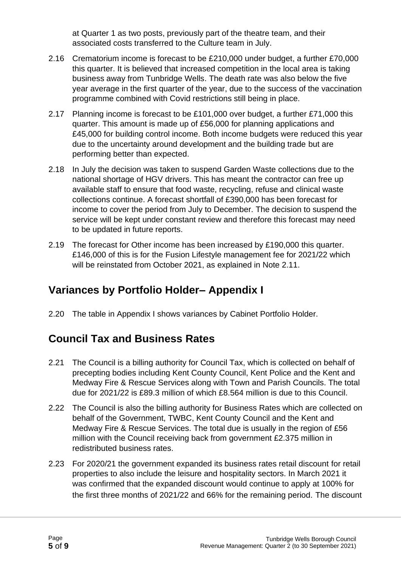at Quarter 1 as two posts, previously part of the theatre team, and their associated costs transferred to the Culture team in July.

- 2.16 Crematorium income is forecast to be £210,000 under budget, a further £70,000 this quarter. It is believed that increased competition in the local area is taking business away from Tunbridge Wells. The death rate was also below the five year average in the first quarter of the year, due to the success of the vaccination programme combined with Covid restrictions still being in place.
- 2.17 Planning income is forecast to be £101,000 over budget, a further £71,000 this quarter. This amount is made up of £56,000 for planning applications and £45,000 for building control income. Both income budgets were reduced this year due to the uncertainty around development and the building trade but are performing better than expected.
- 2.18 In July the decision was taken to suspend Garden Waste collections due to the national shortage of HGV drivers. This has meant the contractor can free up available staff to ensure that food waste, recycling, refuse and clinical waste collections continue. A forecast shortfall of £390,000 has been forecast for income to cover the period from July to December. The decision to suspend the service will be kept under constant review and therefore this forecast may need to be updated in future reports.
- 2.19 The forecast for Other income has been increased by £190,000 this quarter. £146,000 of this is for the Fusion Lifestyle management fee for 2021/22 which will be reinstated from October 2021, as explained in Note 2.11.

#### **Variances by Portfolio Holder– Appendix I**

2.20 The table in Appendix I shows variances by Cabinet Portfolio Holder.

#### **Council Tax and Business Rates**

- 2.21 The Council is a billing authority for Council Tax, which is collected on behalf of precepting bodies including Kent County Council, Kent Police and the Kent and Medway Fire & Rescue Services along with Town and Parish Councils. The total due for 2021/22 is £89.3 million of which £8.564 million is due to this Council.
- 2.22 The Council is also the billing authority for Business Rates which are collected on behalf of the Government, TWBC, Kent County Council and the Kent and Medway Fire & Rescue Services. The total due is usually in the region of £56 million with the Council receiving back from government £2.375 million in redistributed business rates.
- 2.23 For 2020/21 the government expanded its business rates retail discount for retail properties to also include the leisure and hospitality sectors. In March 2021 it was confirmed that the expanded discount would continue to apply at 100% for the first three months of 2021/22 and 66% for the remaining period. The discount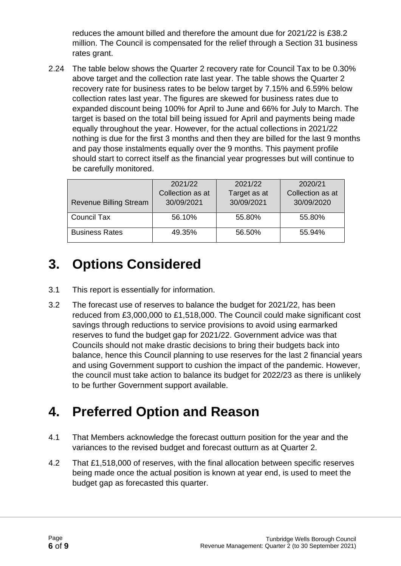reduces the amount billed and therefore the amount due for 2021/22 is £38.2 million. The Council is compensated for the relief through a Section 31 business rates grant.

2.24 The table below shows the Quarter 2 recovery rate for Council Tax to be 0.30% above target and the collection rate last year. The table shows the Quarter 2 recovery rate for business rates to be below target by 7.15% and 6.59% below collection rates last year. The figures are skewed for business rates due to expanded discount being 100% for April to June and 66% for July to March. The target is based on the total bill being issued for April and payments being made equally throughout the year. However, for the actual collections in 2021/22 nothing is due for the first 3 months and then they are billed for the last 9 months and pay those instalments equally over the 9 months. This payment profile should start to correct itself as the financial year progresses but will continue to be carefully monitored.

|                               | 2021/22          | 2021/22      | 2020/21          |
|-------------------------------|------------------|--------------|------------------|
|                               | Collection as at | Target as at | Collection as at |
| <b>Revenue Billing Stream</b> | 30/09/2021       | 30/09/2021   | 30/09/2020       |
|                               |                  |              |                  |
| Council Tax                   | 56.10%           | 55.80%       | 55.80%           |
| <b>Business Rates</b>         | 49.35%           | 56.50%       | 55.94%           |

## **3. Options Considered**

- 3.1 This report is essentially for information.
- 3.2 The forecast use of reserves to balance the budget for 2021/22, has been reduced from £3,000,000 to £1,518,000. The Council could make significant cost savings through reductions to service provisions to avoid using earmarked reserves to fund the budget gap for 2021/22. Government advice was that Councils should not make drastic decisions to bring their budgets back into balance, hence this Council planning to use reserves for the last 2 financial years and using Government support to cushion the impact of the pandemic. However, the council must take action to balance its budget for 2022/23 as there is unlikely to be further Government support available.

# **4. Preferred Option and Reason**

- 4.1 That Members acknowledge the forecast outturn position for the year and the variances to the revised budget and forecast outturn as at Quarter 2.
- 4.2 That £1,518,000 of reserves, with the final allocation between specific reserves being made once the actual position is known at year end, is used to meet the budget gap as forecasted this quarter.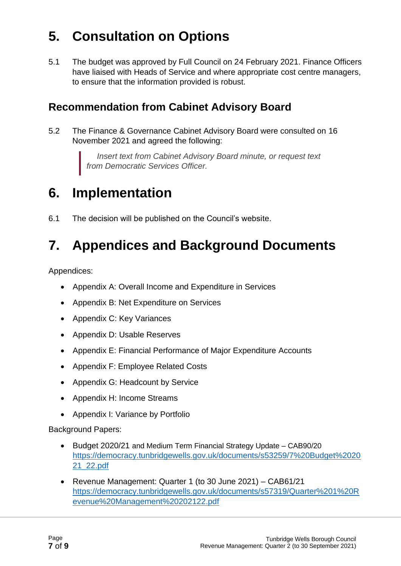# **5. Consultation on Options**

5.1 The budget was approved by Full Council on 24 February 2021. Finance Officers have liaised with Heads of Service and where appropriate cost centre managers, to ensure that the information provided is robust.

#### **Recommendation from Cabinet Advisory Board**

5.2 The Finance & Governance Cabinet Advisory Board were consulted on 16 November 2021 and agreed the following:

> *Insert text from Cabinet Advisory Board minute, or request text from Democratic Services Officer.*

### **6. Implementation**

6.1 The decision will be published on the Council's website.

# **7. Appendices and Background Documents**

Appendices:

- Appendix A: Overall Income and Expenditure in Services
- Appendix B: Net Expenditure on Services
- Appendix C: Key Variances
- Appendix D: Usable Reserves
- Appendix E: Financial Performance of Major Expenditure Accounts
- Appendix F: Employee Related Costs
- Appendix G: Headcount by Service
- Appendix H: Income Streams
- Appendix I: Variance by Portfolio

Background Papers:

- Budget 2020/21 and Medium Term Financial Strategy Update CAB90/20 [https://democracy.tunbridgewells.gov.uk/documents/s53259/7%20Budget%2020](https://democracy.tunbridgewells.gov.uk/documents/s53259/7%20Budget%202021_22.pdf) [21\\_22.pdf](https://democracy.tunbridgewells.gov.uk/documents/s53259/7%20Budget%202021_22.pdf)
- Revenue Management: Quarter 1 (to 30 June 2021) CAB61/21 [https://democracy.tunbridgewells.gov.uk/documents/s57319/Quarter%201%20R](https://democracy.tunbridgewells.gov.uk/documents/s57319/Quarter%201%20Revenue%20Management%20202122.pdf) [evenue%20Management%20202122.pdf](https://democracy.tunbridgewells.gov.uk/documents/s57319/Quarter%201%20Revenue%20Management%20202122.pdf)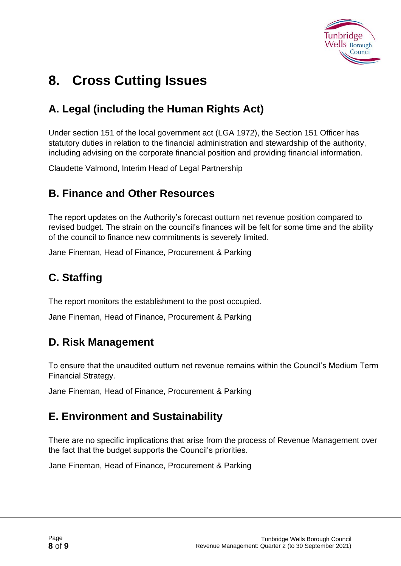

## **8. Cross Cutting Issues**

### **A. Legal (including the Human Rights Act)**

Under section 151 of the local government act (LGA 1972), the Section 151 Officer has statutory duties in relation to the financial administration and stewardship of the authority, including advising on the corporate financial position and providing financial information.

Claudette Valmond, Interim Head of Legal Partnership

#### **B. Finance and Other Resources**

The report updates on the Authority's forecast outturn net revenue position compared to revised budget. The strain on the council's finances will be felt for some time and the ability of the council to finance new commitments is severely limited.

Jane Fineman, Head of Finance, Procurement & Parking

### **C. Staffing**

The report monitors the establishment to the post occupied.

Jane Fineman, Head of Finance, Procurement & Parking

#### **D. Risk Management**

To ensure that the unaudited outturn net revenue remains within the Council's Medium Term Financial Strategy.

Jane Fineman, Head of Finance, Procurement & Parking

#### **E. Environment and Sustainability**

There are no specific implications that arise from the process of Revenue Management over the fact that the budget supports the Council's priorities.

Jane Fineman, Head of Finance, Procurement & Parking